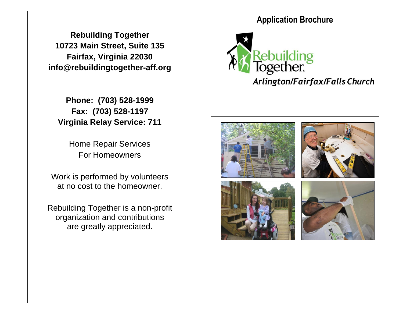**Rebuilding Together 10723 Main Street, Suite 135 Fairfax, Virginia 22030 info@rebuildingtogether-aff.org**

**Phone: (703) 528-1999 Fax: (703) 528-1197 Virginia Relay Service: 711**

> Home Repair Services For Homeowners

Work is performed by volunteers at no cost to the homeowner.

Rebuilding Together is a non-profit organization and contributions are greatly appreciated.

# **Application Brochure**